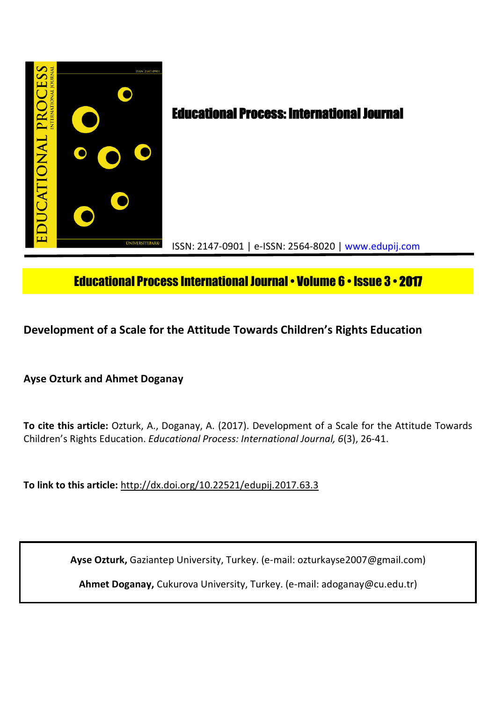

# Educational Process International Journal• Volume 6 • Issue 3 • **2017**

**Development of a Scale for the Attitude Towards Children's Rights Education** 

**Ayse Ozturk and Ahmet Doganay**

**To cite this article:** Ozturk, A., Doganay, A. (2017). Development of a Scale for the Attitude Towards Children's Rights Education. *Educational Process: International Journal, 6*(3), 26-41.

**To link to this article:** http://dx.doi.org/10.22521/edupij.2017.63.3

**Ayse Ozturk,** Gaziantep University, Turkey. (e-mail: ozturkayse2007@gmail.com)

**Ahmet Doganay,** Cukurova University, Turkey. (e-mail: adoganay@cu.edu.tr)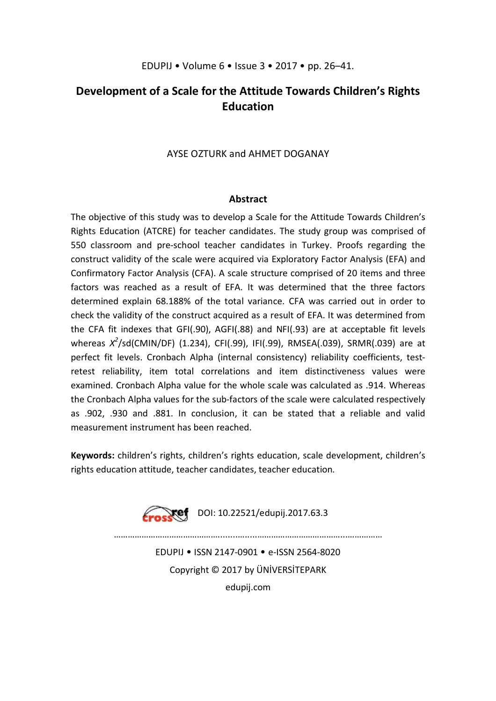## **Development of a Scale for the Attitude Towards Children's Rights Education**

## AYSE OZTURK and AHMET DOGANAY

## **Abstract**

The objective of this study was to develop a Scale for the Attitude Towards Children's Rights Education (ATCRE) for teacher candidates. The study group was comprised of 550 classroom and pre-school teacher candidates in Turkey. Proofs regarding the construct validity of the scale were acquired via Exploratory Factor Analysis (EFA) and Confirmatory Factor Analysis (CFA). A scale structure comprised of 20 items and three factors was reached as a result of EFA. It was determined that the three factors determined explain 68.188% of the total variance. CFA was carried out in order to check the validity of the construct acquired as a result of EFA. It was determined from the CFA fit indexes that GFI(.90), AGFI(.88) and NFI(.93) are at acceptable fit levels whereas *X 2* /sd(CMIN/DF) (1.234), CFI(.99), IFI(.99), RMSEA(.039), SRMR(.039) are at perfect fit levels. Cronbach Alpha (internal consistency) reliability coefficients, testretest reliability, item total correlations and item distinctiveness values were examined. Cronbach Alpha value for the whole scale was calculated as .914. Whereas the Cronbach Alpha values for the sub-factors of the scale were calculated respectively as .902, .930 and .881. In conclusion, it can be stated that a reliable and valid measurement instrument has been reached.

**Keywords:** children's rights, children's rights education, scale development, children's rights education attitude, teacher candidates, teacher education.



 $\mathcal{L}^{\text{max}}$ 

EDUPIJ • ISSN 2147-0901 • e-ISSN 2564-8020 Copyright © 2017 by ÜNİVERSİTEPARK edupij.com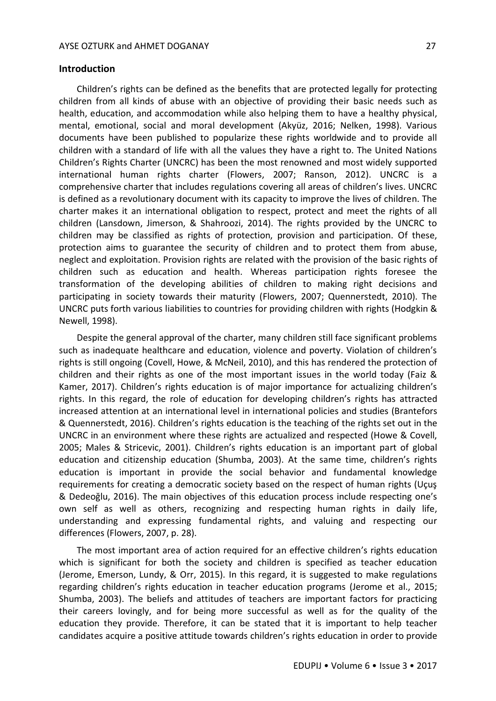Children's rights can be defined as the benefits that are protected legally for protecting children from all kinds of abuse with an objective of providing their basic needs such as health, education, and accommodation while also helping them to have a healthy physical, mental, emotional, social and moral development (Akyüz, 2016; Nelken, 1998). Various documents have been published to popularize these rights worldwide and to provide all children with a standard of life with all the values they have a right to. The United Nations Children's Rights Charter (UNCRC) has been the most renowned and most widely supported international human rights charter (Flowers, 2007; Ranson, 2012). UNCRC is a comprehensive charter that includes regulations covering all areas of children's lives. UNCRC is defined as a revolutionary document with its capacity to improve the lives of children. The charter makes it an international obligation to respect, protect and meet the rights of all children (Lansdown, Jimerson, & Shahroozi, 2014). The rights provided by the UNCRC to children may be classified as rights of protection, provision and participation. Of these, protection aims to guarantee the security of children and to protect them from abuse, neglect and exploitation. Provision rights are related with the provision of the basic rights of children such as education and health. Whereas participation rights foresee the transformation of the developing abilities of children to making right decisions and participating in society towards their maturity (Flowers, 2007; Quennerstedt, 2010). The UNCRC puts forth various liabilities to countries for providing children with rights (Hodgkin & Newell, 1998).

Despite the general approval of the charter, many children still face significant problems such as inadequate healthcare and education, violence and poverty. Violation of children's rights is still ongoing (Covell, Howe, & McNeil, 2010), and this has rendered the protection of children and their rights as one of the most important issues in the world today (Faiz & Kamer, 2017). Children's rights education is of major importance for actualizing children's rights. In this regard, the role of education for developing children's rights has attracted increased attention at an international level in international policies and studies (Brantefors & Quennerstedt, 2016). Children's rights education is the teaching of the rights set out in the UNCRC in an environment where these rights are actualized and respected (Howe & Covell, 2005; Males & Stricevic, 2001). Children's rights education is an important part of global education and citizenship education (Shumba, 2003). At the same time, children's rights education is important in provide the social behavior and fundamental knowledge requirements for creating a democratic society based on the respect of human rights (Uçuş & Dedeoğlu, 2016). The main objectives of this education process include respecting one's own self as well as others, recognizing and respecting human rights in daily life, understanding and expressing fundamental rights, and valuing and respecting our differences (Flowers, 2007, p. 28).

The most important area of action required for an effective children's rights education which is significant for both the society and children is specified as teacher education (Jerome, Emerson, Lundy, & Orr, 2015). In this regard, it is suggested to make regulations regarding children's rights education in teacher education programs (Jerome et al., 2015; Shumba, 2003). The beliefs and attitudes of teachers are important factors for practicing their careers lovingly, and for being more successful as well as for the quality of the education they provide. Therefore, it can be stated that it is important to help teacher candidates acquire a positive attitude towards children's rights education in order to provide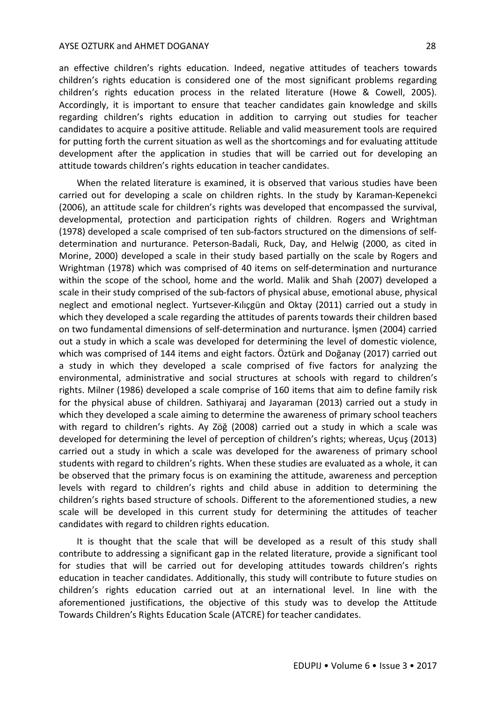#### AYSE OZTURK and AHMET DOGANAY 28

an effective children's rights education. Indeed, negative attitudes of teachers towards children's rights education is considered one of the most significant problems regarding children's rights education process in the related literature (Howe & Cowell, 2005). Accordingly, it is important to ensure that teacher candidates gain knowledge and skills regarding children's rights education in addition to carrying out studies for teacher candidates to acquire a positive attitude. Reliable and valid measurement tools are required for putting forth the current situation as well as the shortcomings and for evaluating attitude development after the application in studies that will be carried out for developing an attitude towards children's rights education in teacher candidates.

When the related literature is examined, it is observed that various studies have been carried out for developing a scale on children rights. In the study by Karaman-Kepenekci (2006), an attitude scale for children's rights was developed that encompassed the survival, developmental, protection and participation rights of children. Rogers and Wrightman (1978) developed a scale comprised of ten sub-factors structured on the dimensions of selfdetermination and nurturance. Peterson-Badali, Ruck, Day, and Helwig (2000, as cited in Morine, 2000) developed a scale in their study based partially on the scale by Rogers and Wrightman (1978) which was comprised of 40 items on self-determination and nurturance within the scope of the school, home and the world. Malik and Shah (2007) developed a scale in their study comprised of the sub-factors of physical abuse, emotional abuse, physical neglect and emotional neglect. Yurtsever-Kılıçgün and Oktay (2011) carried out a study in which they developed a scale regarding the attitudes of parents towards their children based on two fundamental dimensions of self-determination and nurturance. İşmen (2004) carried out a study in which a scale was developed for determining the level of domestic violence, which was comprised of 144 items and eight factors. Öztürk and Doğanay (2017) carried out a study in which they developed a scale comprised of five factors for analyzing the environmental, administrative and social structures at schools with regard to children's rights. Milner (1986) developed a scale comprise of 160 items that aim to define family risk for the physical abuse of children. Sathiyaraj and Jayaraman (2013) carried out a study in which they developed a scale aiming to determine the awareness of primary school teachers with regard to children's rights. Ay Zöğ (2008) carried out a study in which a scale was developed for determining the level of perception of children's rights; whereas, Uçuş (2013) carried out a study in which a scale was developed for the awareness of primary school students with regard to children's rights. When these studies are evaluated as a whole, it can be observed that the primary focus is on examining the attitude, awareness and perception levels with regard to children's rights and child abuse in addition to determining the children's rights based structure of schools. Different to the aforementioned studies, a new scale will be developed in this current study for determining the attitudes of teacher candidates with regard to children rights education.

It is thought that the scale that will be developed as a result of this study shall contribute to addressing a significant gap in the related literature, provide a significant tool for studies that will be carried out for developing attitudes towards children's rights education in teacher candidates. Additionally, this study will contribute to future studies on children's rights education carried out at an international level. In line with the aforementioned justifications, the objective of this study was to develop the Attitude Towards Children's Rights Education Scale (ATCRE) for teacher candidates.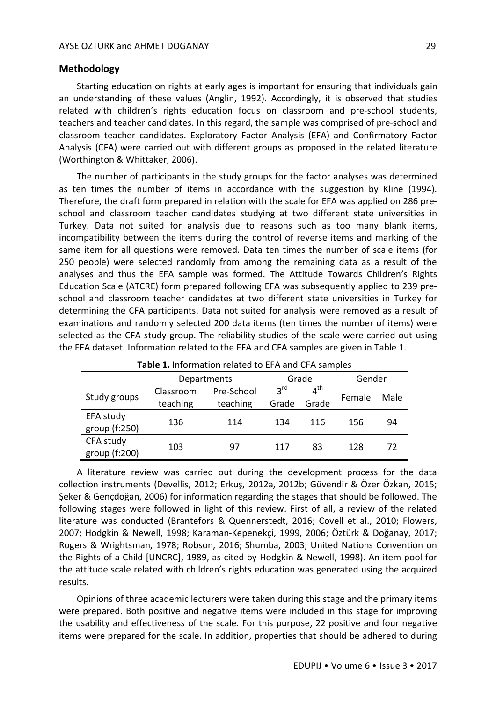## **Methodology**

Starting education on rights at early ages is important for ensuring that individuals gain an understanding of these values (Anglin, 1992). Accordingly, it is observed that studies related with children's rights education focus on classroom and pre-school students, teachers and teacher candidates. In this regard, the sample was comprised of pre-school and classroom teacher candidates. Exploratory Factor Analysis (EFA) and Confirmatory Factor Analysis (CFA) were carried out with different groups as proposed in the related literature (Worthington & Whittaker, 2006).

The number of participants in the study groups for the factor analyses was determined as ten times the number of items in accordance with the suggestion by Kline (1994). Therefore, the draft form prepared in relation with the scale for EFA was applied on 286 preschool and classroom teacher candidates studying at two different state universities in Turkey. Data not suited for analysis due to reasons such as too many blank items, incompatibility between the items during the control of reverse items and marking of the same item for all questions were removed. Data ten times the number of scale items (for 250 people) were selected randomly from among the remaining data as a result of the analyses and thus the EFA sample was formed. The Attitude Towards Children's Rights Education Scale (ATCRE) form prepared following EFA was subsequently applied to 239 preschool and classroom teacher candidates at two different state universities in Turkey for determining the CFA participants. Data not suited for analysis were removed as a result of examinations and randomly selected 200 data items (ten times the number of items) were selected as the CFA study group. The reliability studies of the scale were carried out using the EFA dataset. Information related to the EFA and CFA samples are given in Table 1.

|                            | Departments           |                        |                          | Grade                    |        | Gender |  |
|----------------------------|-----------------------|------------------------|--------------------------|--------------------------|--------|--------|--|
| Study groups               | Classroom<br>teaching | Pre-School<br>teaching | $2^{\text{rd}}$<br>Grade | $4^{\text{th}}$<br>Grade | Female | Male   |  |
| EFA study<br>group (f:250) | 136                   | 114                    | 134                      | 116                      | 156    | 94     |  |
| CFA study<br>group (f:200) | 103                   | 97                     | 117                      | 83                       | 128    | 72     |  |

**Table 1.** Information related to EFA and CFA samples

A literature review was carried out during the development process for the data collection instruments (Devellis, 2012; Erkuş, 2012a, 2012b; Güvendir & Özer Özkan, 2015; Şeker & Gençdoğan, 2006) for information regarding the stages that should be followed. The following stages were followed in light of this review. First of all, a review of the related literature was conducted (Brantefors & Quennerstedt, 2016; Covell et al., 2010; Flowers, 2007; Hodgkin & Newell, 1998; Karaman-Kepenekçi, 1999, 2006; Öztürk & Doğanay, 2017; Rogers & Wrightsman, 1978; Robson, 2016; Shumba, 2003; United Nations Convention on the Rights of a Child [UNCRC], 1989, as cited by Hodgkin & Newell, 1998). An item pool for the attitude scale related with children's rights education was generated using the acquired results.

Opinions of three academic lecturers were taken during this stage and the primary items were prepared. Both positive and negative items were included in this stage for improving the usability and effectiveness of the scale. For this purpose, 22 positive and four negative items were prepared for the scale. In addition, properties that should be adhered to during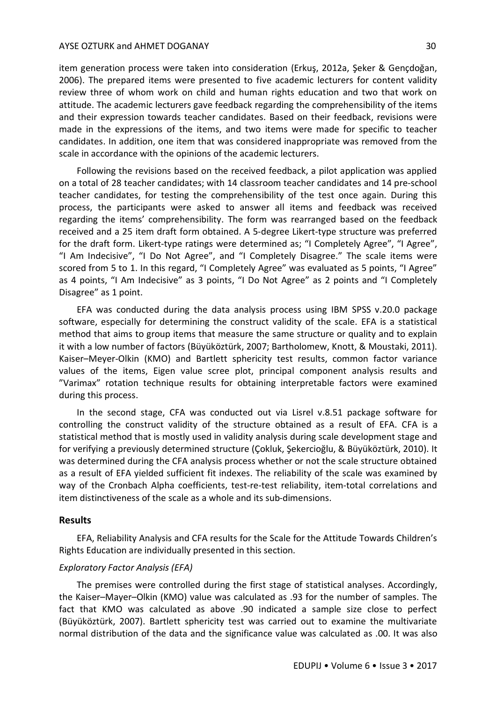#### AYSE OZTURK and AHMET DOGANAY 30

item generation process were taken into consideration (Erkuş, 2012a, Şeker & Gençdoğan, 2006). The prepared items were presented to five academic lecturers for content validity review three of whom work on child and human rights education and two that work on attitude. The academic lecturers gave feedback regarding the comprehensibility of the items and their expression towards teacher candidates. Based on their feedback, revisions were made in the expressions of the items, and two items were made for specific to teacher candidates. In addition, one item that was considered inappropriate was removed from the scale in accordance with the opinions of the academic lecturers.

Following the revisions based on the received feedback, a pilot application was applied on a total of 28 teacher candidates; with 14 classroom teacher candidates and 14 pre-school teacher candidates, for testing the comprehensibility of the test once again. During this process, the participants were asked to answer all items and feedback was received regarding the items' comprehensibility. The form was rearranged based on the feedback received and a 25 item draft form obtained. A 5-degree Likert-type structure was preferred for the draft form. Likert-type ratings were determined as; "I Completely Agree", "I Agree", "I Am Indecisive", "I Do Not Agree", and "I Completely Disagree." The scale items were scored from 5 to 1. In this regard, "I Completely Agree" was evaluated as 5 points, "I Agree" as 4 points, "I Am Indecisive" as 3 points, "I Do Not Agree" as 2 points and "I Completely Disagree" as 1 point.

EFA was conducted during the data analysis process using IBM SPSS v.20.0 package software, especially for determining the construct validity of the scale. EFA is a statistical method that aims to group items that measure the same structure or quality and to explain it with a low number of factors (Büyüköztürk, 2007; Bartholomew, Knott, & Moustaki, 2011). Kaiser–Meyer-Olkin (KMO) and Bartlett sphericity test results, common factor variance values of the items, Eigen value scree plot, principal component analysis results and "Varimax" rotation technique results for obtaining interpretable factors were examined during this process.

In the second stage, CFA was conducted out via Lisrel v.8.51 package software for controlling the construct validity of the structure obtained as a result of EFA. CFA is a statistical method that is mostly used in validity analysis during scale development stage and for verifying a previously determined structure (Çokluk, Şekercioğlu, & Büyüköztürk, 2010). It was determined during the CFA analysis process whether or not the scale structure obtained as a result of EFA yielded sufficient fit indexes. The reliability of the scale was examined by way of the Cronbach Alpha coefficients, test-re-test reliability, item-total correlations and item distinctiveness of the scale as a whole and its sub-dimensions.

#### **Results**

EFA, Reliability Analysis and CFA results for the Scale for the Attitude Towards Children's Rights Education are individually presented in this section.

#### *Exploratory Factor Analysis (EFA)*

The premises were controlled during the first stage of statistical analyses. Accordingly, the Kaiser–Mayer–Olkin (KMO) value was calculated as .93 for the number of samples. The fact that KMO was calculated as above .90 indicated a sample size close to perfect (Büyüköztürk, 2007). Bartlett sphericity test was carried out to examine the multivariate normal distribution of the data and the significance value was calculated as .00. It was also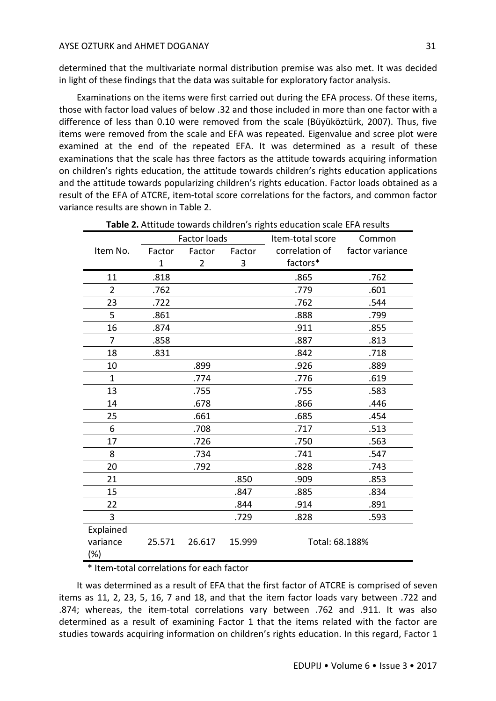determined that the multivariate normal distribution premise was also met. It was decided in light of these findings that the data was suitable for exploratory factor analysis.

Examinations on the items were first carried out during the EFA process. Of these items, those with factor load values of below .32 and those included in more than one factor with a difference of less than 0.10 were removed from the scale (Büyüköztürk, 2007). Thus, five items were removed from the scale and EFA was repeated. Eigenvalue and scree plot were examined at the end of the repeated EFA. It was determined as a result of these examinations that the scale has three factors as the attitude towards acquiring information on children's rights education, the attitude towards children's rights education applications and the attitude towards popularizing children's rights education. Factor loads obtained as a result of the EFA of ATCRE, item-total score correlations for the factors, and common factor variance results are shown in Table 2.

|                 |              | <b>Factor loads</b> |        | Item-total score | Common          |
|-----------------|--------------|---------------------|--------|------------------|-----------------|
| Item No.        | Factor       | Factor              | Factor | correlation of   | factor variance |
|                 | $\mathbf{1}$ | $\overline{2}$      | 3      | factors*         |                 |
| 11              | .818         |                     |        | .865             | .762            |
| $\overline{2}$  | .762         |                     |        | .779             | .601            |
| 23              | .722         |                     |        | .762             | .544            |
| 5               | .861         |                     |        | .888             | .799            |
| 16              | .874         |                     |        | .911             | .855            |
| $\overline{7}$  | .858         |                     |        | .887             | .813            |
| 18              | .831         |                     |        | .842             | .718            |
| 10              |              | .899                |        | .926             | .889            |
| $\mathbf{1}$    |              | .774                |        | .776             | .619            |
| 13              |              | .755                |        | .755             | .583            |
| 14              |              | .678                |        | .866             | .446            |
| 25              |              | .661                |        | .685             | .454            |
| 6               |              | .708                |        | .717             | .513            |
| 17              |              | .726                |        | .750             | .563            |
| 8               |              | .734                |        | .741             | .547            |
| 20              |              | .792                |        | .828             | .743            |
| 21              |              |                     | .850   | .909             | .853            |
| 15              |              |                     | .847   | .885             | .834            |
| 22              |              |                     | .844   | .914             | .891            |
| 3               |              |                     | .729   | .828             | .593            |
| Explained       |              |                     |        |                  |                 |
| variance<br>(%) | 25.571       | 26.617              | 15.999 | Total: 68.188%   |                 |

**Table 2.** Attitude towards children's rights education scale EFA results

\* Item-total correlations for each factor

It was determined as a result of EFA that the first factor of ATCRE is comprised of seven items as 11, 2, 23, 5, 16, 7 and 18, and that the item factor loads vary between .722 and .874; whereas, the item-total correlations vary between .762 and .911. It was also determined as a result of examining Factor 1 that the items related with the factor are studies towards acquiring information on children's rights education. In this regard, Factor 1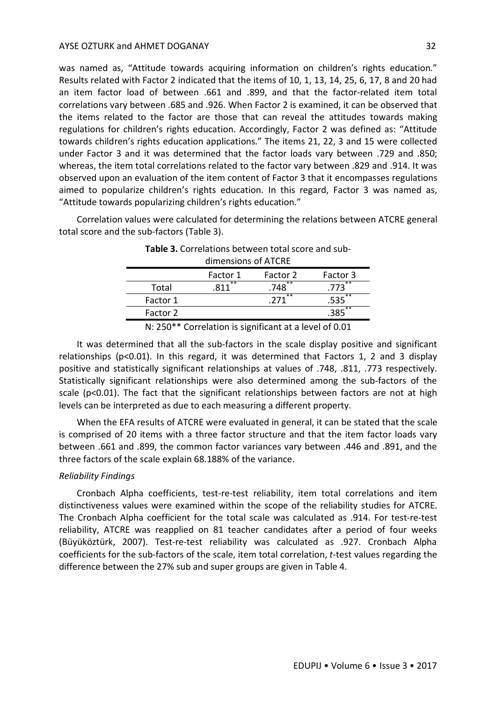was named as, "Attitude towards acquiring information on children's rights education." Results related with Factor 2 indicated that the items of 10, 1, 13, 14, 25, 6, 17, 8 and 20 had an item factor load of between .661 and .899, and that the factor-related item total correlations vary between .685 and .926. When Factor 2 is examined, it can be observed that the items related to the factor are those that can reveal the attitudes towards making regulations for children's rights education. Accordingly, Factor 2 was defined as: "Attitude towards children's rights education applications." The items 21, 22, 3 and 15 were collected under Factor 3 and it was determined that the factor loads vary between .729 and .850; whereas, the item total correlations related to the factor vary between .829 and .914. It was observed upon an evaluation of the item content of Factor 3 that it encompasses regulations aimed to popularize children's rights education. In this regard, Factor 3 was named as, "Attitude towards popularizing children's rights education."

Correlation values were calculated for determining the relations between ATCRE general total score and the sub-factors (Table 3).

| UIIIICIDIUID UI ATUNL |          |                      |          |  |  |
|-----------------------|----------|----------------------|----------|--|--|
|                       | Factor 1 | Factor 2             | Factor 3 |  |  |
| Total                 | **       | $.748$ <sup>**</sup> | $* *$    |  |  |
| Factor 1              |          | $***$                | $* *$    |  |  |
| Factor 2              |          |                      | $**$     |  |  |
|                       |          |                      |          |  |  |

| Table 3. Correlations between total score and sub- |  |
|----------------------------------------------------|--|
| dimensions of ATCRE                                |  |

N: 250\*\* Correlation is significant at a level of 0.01

It was determined that all the sub-factors in the scale display positive and significant relationships (p<0.01). In this regard, it was determined that Factors 1, 2 and 3 display positive and statistically significant relationships at values of .748, .811, .773 respectively. Statistically significant relationships were also determined among the sub-factors of the scale (p<0.01). The fact that the significant relationships between factors are not at high levels can be interpreted as due to each measuring a different property.

When the EFA results of ATCRE were evaluated in general, it can be stated that the scale is comprised of 20 items with a three factor structure and that the item factor loads vary between .661 and .899, the common factor variances vary between .446 and .891, and the three factors of the scale explain 68.188% of the variance.

### *Reliability Findings*

Cronbach Alpha coefficients, test-re-test reliability, item total correlations and item distinctiveness values were examined within the scope of the reliability studies for ATCRE. The Cronbach Alpha coefficient for the total scale was calculated as .914. For test-re-test reliability, ATCRE was reapplied on 81 teacher candidates after a period of four weeks (Büyüköztürk, 2007). Test-re-test reliability was calculated as .927. Cronbach Alpha coefficients for the sub-factors of the scale, item total correlation, *t*-test values regarding the difference between the 27% sub and super groups are given in Table 4.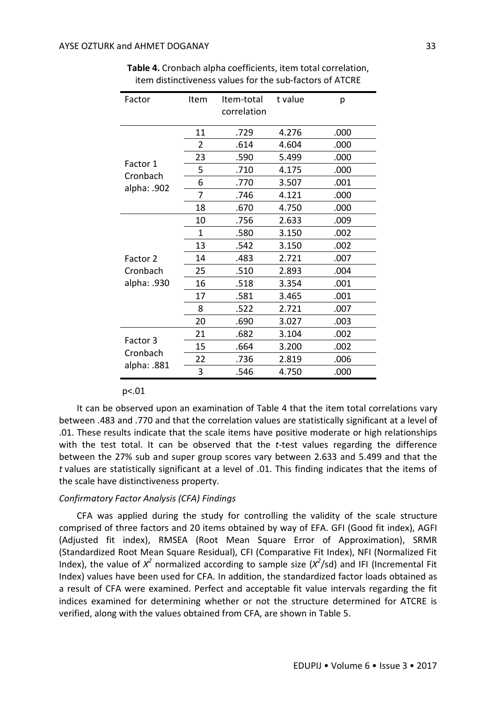| Factor               | Item | Item-total  | t value | р    |
|----------------------|------|-------------|---------|------|
|                      |      | correlation |         |      |
|                      | 11   | .729        | 4.276   | .000 |
|                      | 2    | .614        | 4.604   | .000 |
| Factor 1             | 23   | .590        | 5.499   | .000 |
| Cronbach             | 5    | .710        | 4.175   | .000 |
| alpha: .902          | 6    | .770        | 3.507   | .001 |
|                      | 7    | .746        | 4.121   | .000 |
|                      | 18   | .670        | 4.750   | .000 |
|                      | 10   | .756        | 2.633   | .009 |
|                      | 1    | .580        | 3.150   | .002 |
| Factor 2<br>Cronbach | 13   | .542        | 3.150   | .002 |
|                      | 14   | .483        | 2.721   | .007 |
|                      | 25   | .510        | 2.893   | .004 |
| alpha: .930          | 16   | .518        | 3.354   | .001 |
|                      | 17   | .581        | 3.465   | .001 |
|                      | 8    | .522        | 2.721   | .007 |
|                      | 20   | .690        | 3.027   | .003 |
|                      | 21   | .682        | 3.104   | .002 |
| Factor 3<br>Cronbach | 15   | .664        | 3.200   | .002 |
|                      | 22   | .736        | 2.819   | .006 |
| alpha: .881          | 3    | .546        | 4.750   | .000 |

**Table 4.** Cronbach alpha coefficients, item total correlation, item distinctiveness values for the sub-factors of ATCRE

#### p<.01

It can be observed upon an examination of Table 4 that the item total correlations vary between .483 and .770 and that the correlation values are statistically significant at a level of .01. These results indicate that the scale items have positive moderate or high relationships with the test total. It can be observed that the *t*-test values regarding the difference between the 27% sub and super group scores vary between 2.633 and 5.499 and that the *t* values are statistically significant at a level of .01. This finding indicates that the items of the scale have distinctiveness property.

## *Confirmatory Factor Analysis (CFA) Findings*

CFA was applied during the study for controlling the validity of the scale structure comprised of three factors and 20 items obtained by way of EFA. GFI (Good fit index), AGFI (Adjusted fit index), RMSEA (Root Mean Square Error of Approximation), SRMR (Standardized Root Mean Square Residual), CFI (Comparative Fit Index), NFI (Normalized Fit Index), the value of  $X^2$  normalized according to sample size  $(X^2/sd)$  and IFI (Incremental Fit Index) values have been used for CFA. In addition, the standardized factor loads obtained as a result of CFA were examined. Perfect and acceptable fit value intervals regarding the fit indices examined for determining whether or not the structure determined for ATCRE is verified, along with the values obtained from CFA, are shown in Table 5.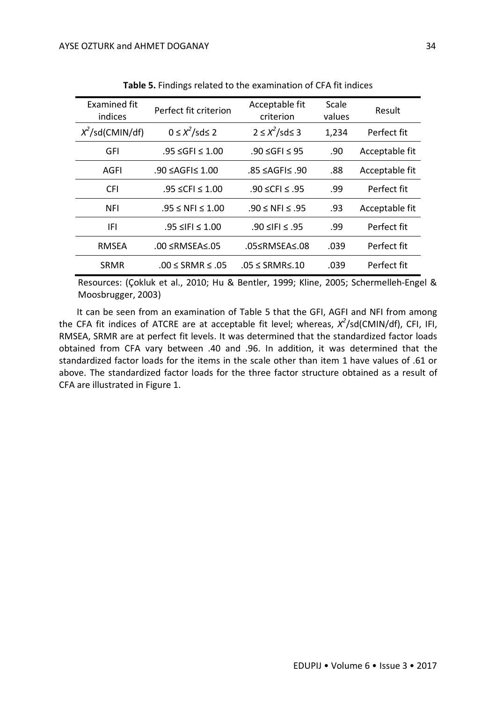| Examined fit<br>indices | Perfect fit criterion      | Acceptable fit<br>criterion   | Scale<br>values | Result         |
|-------------------------|----------------------------|-------------------------------|-----------------|----------------|
| $X^2$ /sd(CMIN/df)      | $0 \leq X^2 / s ds \leq 2$ | $2 \leq X^2/\text{sd} \leq 3$ | 1,234           | Perfect fit    |
| <b>GFI</b>              | .95 ≤GFI ≤ 1.00            | .90 ≤GFI ≤ 95                 | .90             | Acceptable fit |
| AGFI                    | $.90 \leq AGF \leq 1.00$   | .85 ≤AGFI≤ .90                | .88             | Acceptable fit |
| <b>CFI</b>              | .95 ≤ CFI ≤ 1.00           | .90 ≤ CFI ≤ .95               | .99             | Perfect fit    |
| <b>NFI</b>              | $.95 \leq NFI \leq 1.00$   | .90 ≤ NFI ≤ .95               | .93             | Acceptable fit |
| IFL                     | .95 ≤IFI ≤ 1.00            | .90 ≤ IFI ≤ .95               | .99             | Perfect fit    |
| <b>RMSEA</b>            | $.00 \leq RMSEA \leq .05$  | .05≤RMSEA≤.08                 | .039            | Perfect fit    |
| <b>SRMR</b>             | $.00 <$ SRMR $< .05$       | $.05 \leq$ SRMR $\leq$ .10    | .039            | Perfect fit    |

**Table 5.** Findings related to the examination of CFA fit indices

Resources: (Çokluk et al., 2010; Hu & Bentler, 1999; Kline, 2005; Schermelleh-Engel & Moosbrugger, 2003)

It can be seen from an examination of Table 5 that the GFI, AGFI and NFI from among the CFA fit indices of ATCRE are at acceptable fit level; whereas,  $X^2$ /sd(CMIN/df), CFI, IFI, RMSEA, SRMR are at perfect fit levels. It was determined that the standardized factor loads obtained from CFA vary between .40 and .96. In addition, it was determined that the standardized factor loads for the items in the scale other than item 1 have values of .61 or above. The standardized factor loads for the three factor structure obtained as a result of CFA are illustrated in Figure 1.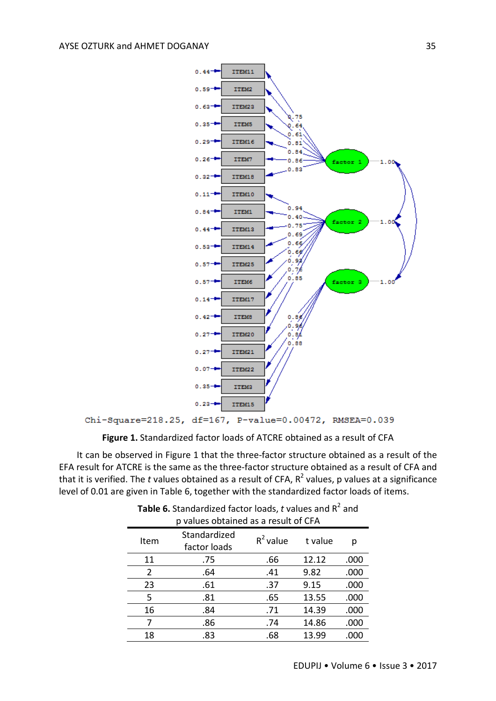

Chi-Square=218.25, df=167, P-value=0.00472, RMSEA=0.039

**Figure 1.** Standardized factor loads of ATCRE obtained as a result of CFA

It can be observed in Figure 1 that the three-factor structure obtained as a result of the EFA result for ATCRE is the same as the three-factor structure obtained as a result of CFA and that it is verified. The *t* values obtained as a result of CFA, R<sup>2</sup> values, p values at a significance level of 0.01 are given in Table 6, together with the standardized factor loads of items.

| p values obtained as a result of CFA |                              |             |         |      |  |  |
|--------------------------------------|------------------------------|-------------|---------|------|--|--|
| Item                                 | Standardized<br>factor loads | $R^2$ value | t value | р    |  |  |
| 11                                   | .75                          | .66         | 12.12   | .000 |  |  |
| 2                                    | .64                          | .41         | 9.82    | .000 |  |  |
| 23                                   | .61                          | .37         | 9.15    | .000 |  |  |
| 5                                    | .81                          | .65         | 13.55   | .000 |  |  |
| 16                                   | .84                          | .71         | 14.39   | .000 |  |  |
| 7                                    | .86                          | .74         | 14.86   | .000 |  |  |
| 18                                   | .83                          | .68         | 13.99   | .000 |  |  |

**Table 6.** Standardized factor loads,  $t$  values and  $R^2$  and p values obtained as a result of CFA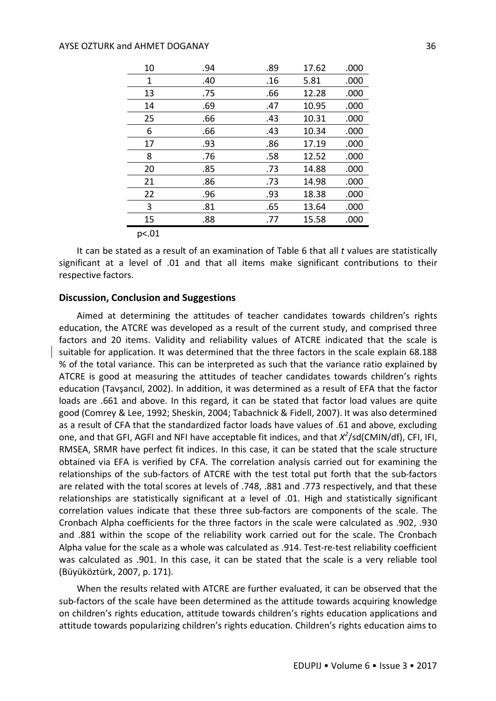| 10    | .94 | .89 | 17.62 | .000 |
|-------|-----|-----|-------|------|
| 1     | .40 | .16 | 5.81  | .000 |
| 13    | .75 | .66 | 12.28 | .000 |
| 14    | .69 | .47 | 10.95 | .000 |
| 25    | .66 | .43 | 10.31 | .000 |
| 6     | .66 | .43 | 10.34 | .000 |
| 17    | .93 | .86 | 17.19 | .000 |
| 8     | .76 | .58 | 12.52 | .000 |
| 20    | .85 | .73 | 14.88 | .000 |
| 21    | .86 | .73 | 14.98 | .000 |
| 22    | .96 | .93 | 18.38 | .000 |
| 3     | .81 | .65 | 13.64 | .000 |
| 15    | .88 | .77 | 15.58 | .000 |
| p<.01 |     |     |       |      |

It can be stated as a result of an examination of Table 6 that all *t* values are statistically significant at a level of .01 and that all items make significant contributions to their respective factors.

### **Discussion, Conclusion and Suggestions**

Aimed at determining the attitudes of teacher candidates towards children's rights education, the ATCRE was developed as a result of the current study, and comprised three factors and 20 items. Validity and reliability values of ATCRE indicated that the scale is suitable for application. It was determined that the three factors in the scale explain 68.188 % of the total variance. This can be interpreted as such that the variance ratio explained by ATCRE is good at measuring the attitudes of teacher candidates towards children's rights education (Tavşancıl, 2002). In addition, it was determined as a result of EFA that the factor loads are .661 and above. In this regard, it can be stated that factor load values are quite good (Comrey & Lee, 1992; Sheskin, 2004; Tabachnick & Fidell, 2007). It was also determined as a result of CFA that the standardized factor loads have values of .61 and above, excluding one, and that GFI, AGFI and NFI have acceptable fit indices, and that  $X^2$ /sd(CMIN/df), CFI, IFI, RMSEA, SRMR have perfect fit indices. In this case, it can be stated that the scale structure obtained via EFA is verified by CFA. The correlation analysis carried out for examining the relationships of the sub-factors of ATCRE with the test total put forth that the sub-factors are related with the total scores at levels of .748, .881 and .773 respectively, and that these relationships are statistically significant at a level of .01. High and statistically significant correlation values indicate that these three sub-factors are components of the scale. The Cronbach Alpha coefficients for the three factors in the scale were calculated as .902, .930 and .881 within the scope of the reliability work carried out for the scale. The Cronbach Alpha value for the scale as a whole was calculated as .914. Test-re-test reliability coefficient was calculated as .901. In this case, it can be stated that the scale is a very reliable tool (Büyüköztürk, 2007, p. 171).

When the results related with ATCRE are further evaluated, it can be observed that the sub-factors of the scale have been determined as the attitude towards acquiring knowledge on children's rights education, attitude towards children's rights education applications and attitude towards popularizing children's rights education. Children's rights education aims to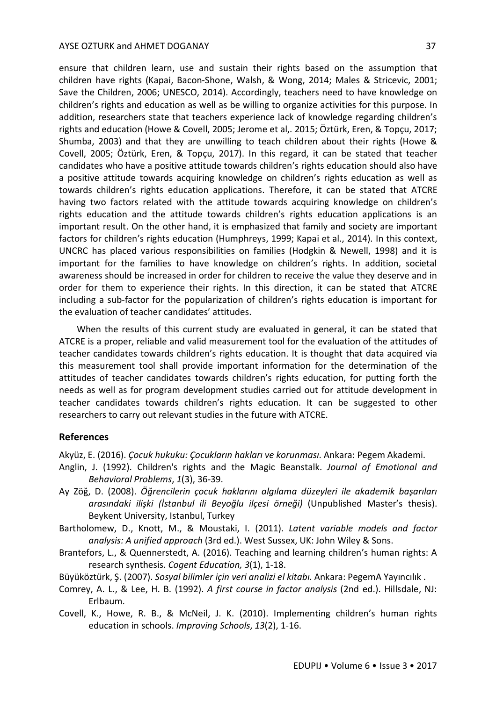ensure that children learn, use and sustain their rights based on the assumption that children have rights (Kapai, Bacon-Shone, Walsh, & Wong, 2014; Males & Stricevic, 2001; Save the Children, 2006; UNESCO, 2014). Accordingly, teachers need to have knowledge on children's rights and education as well as be willing to organize activities for this purpose. In addition, researchers state that teachers experience lack of knowledge regarding children's rights and education (Howe & Covell, 2005; Jerome et al,. 2015; Öztürk, Eren, & Topçu, 2017; Shumba, 2003) and that they are unwilling to teach children about their rights (Howe & Covell, 2005; Öztürk, Eren, & Topçu, 2017). In this regard, it can be stated that teacher candidates who have a positive attitude towards children's rights education should also have a positive attitude towards acquiring knowledge on children's rights education as well as towards children's rights education applications. Therefore, it can be stated that ATCRE having two factors related with the attitude towards acquiring knowledge on children's rights education and the attitude towards children's rights education applications is an

important result. On the other hand, it is emphasized that family and society are important factors for children's rights education (Humphreys, 1999; Kapai et al., 2014). In this context, UNCRC has placed various responsibilities on families (Hodgkin & Newell, 1998) and it is important for the families to have knowledge on children's rights. In addition, societal awareness should be increased in order for children to receive the value they deserve and in order for them to experience their rights. In this direction, it can be stated that ATCRE including a sub-factor for the popularization of children's rights education is important for the evaluation of teacher candidates' attitudes.

When the results of this current study are evaluated in general, it can be stated that ATCRE is a proper, reliable and valid measurement tool for the evaluation of the attitudes of teacher candidates towards children's rights education. It is thought that data acquired via this measurement tool shall provide important information for the determination of the attitudes of teacher candidates towards children's rights education, for putting forth the needs as well as for program development studies carried out for attitude development in teacher candidates towards children's rights education. It can be suggested to other researchers to carry out relevant studies in the future with ATCRE.

## **References**

Akyüz, E. (2016). *Çocuk hukuku: Çocukların hakları ve korunması*. Ankara: Pegem Akademi.

- Anglin, J. (1992). Children's rights and the Magic Beanstalk. *Journal of Emotional and Behavioral Problems*, *1*(3), 36-39.
- Ay Zöğ, D. (2008). *Öğrencilerin çocuk haklarını algılama düzeyleri ile akademik başarıları arasındaki ilişki (İstanbul ili Beyoğlu ilçesi örneği)* (Unpublished Master's thesis). Beykent University, Istanbul, Turkey
- Bartholomew, D., Knott, M., & Moustaki, I. (2011). *Latent variable models and factor analysis: A unified approach* (3rd ed.). West Sussex, UK: John Wiley & Sons.
- Brantefors, L., & Quennerstedt, A. (2016). Teaching and learning children's human rights: A research synthesis. *Cogent Education, 3*(1), 1-18.

Büyüköztürk, Ş. (2007). *Sosyal bilimler için veri analizi el kitabı*. Ankara: PegemA Yayıncılık .

- Comrey, A. L., & Lee, H. B. (1992). *A first course in factor analysis* (2nd ed.). Hillsdale, NJ: Erlbaum.
- Covell, K., Howe, R. B., & McNeil, J. K. (2010). Implementing children's human rights education in schools. *Improving Schools*, *13*(2), 1-16.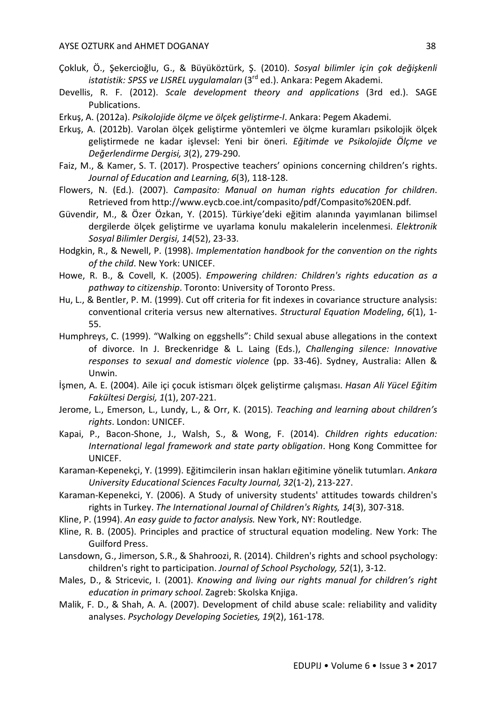- Çokluk, Ö., Şekercioğlu, G., & Büyüköztürk, Ş. (2010). *Sosyal bilimler için çok değişkenli istatistik: SPSS ve LISREL uygulamaları* (3rd ed.). Ankara: Pegem Akademi.
- Devellis, R. F. (2012). *Scale development theory and applications* (3rd ed.). SAGE Publications.
- Erkuş, A. (2012a). *Psikolojide ölçme ve ölçek geliştirme-I*. Ankara: Pegem Akademi.
- Erkuş, A. (2012b). Varolan ölçek geliştirme yöntemleri ve ölçme kuramları psikolojik ölçek geliştirmede ne kadar işlevsel: Yeni bir öneri. *Eğitimde ve Psikolojide Ölçme ve Değerlendirme Dergisi, 3*(2), 279-290.
- Faiz, M., & Kamer, S. T. (2017). Prospective teachers' opinions concerning children's rights. *Journal of Education and Learning, 6*(3), 118-128.
- Flowers, N. (Ed.). (2007). *Campasito: Manual on human rights education for children*. Retrieved from http://www.eycb.coe.int/compasito/pdf/Compasito%20EN.pdf.
- Güvendir, M., & Özer Özkan, Y. (2015). Türkiye'deki eğitim alanında yayımlanan bilimsel dergilerde ölçek geliştirme ve uyarlama konulu makalelerin incelenmesi. *Elektronik Sosyal Bilimler Dergisi, 14*(52), 23-33.
- Hodgkin, R., & Newell, P. (1998). *Implementation handbook for the convention on the rights of the child*. New York: UNICEF.
- Howe, R. B., & Covell, K. (2005). *Empowering children: Children's rights education as a pathway to citizenship*. Toronto: University of Toronto Press.
- Hu, L., & Bentler, P. M. (1999). Cut off criteria for fit indexes in covariance structure analysis: conventional criteria versus new alternatives. *Structural Equation Modeling*, *6*(1), 1- 55.
- Humphreys, C. (1999). "Walking on eggshells": Child sexual abuse allegations in the context of divorce. In J. Breckenridge & L. Laing (Eds.), *Challenging silence: Innovative responses to sexual and domestic violence* (pp. 33-46). Sydney, Australia: Allen & Unwin.
- İşmen, A. E. (2004). Aile içi çocuk istismarı ölçek geliştirme çalışması. *Hasan Ali Yücel Eğitim Fakültesi Dergisi, 1*(1), 207-221.
- Jerome, L., Emerson, L., Lundy, L., & Orr, K. (2015). *Teaching and learning about children's rights*. London: UNICEF.
- Kapai, P., Bacon-Shone, J., Walsh, S., & Wong, F. (2014). *Children rights education: International legal framework and state party obligation*. Hong Kong Committee for UNICEF.
- Karaman-Kepenekçi, Y. (1999). Eğitimcilerin insan hakları eğitimine yönelik tutumları. *Ankara University Educational Sciences Faculty Journal, 32*(1-2), 213-227.
- Karaman-Kepenekci, Y. (2006). A Study of university students' attitudes towards children's rights in Turkey. *The International Journal of Children's Rights, 14*(3), 307-318.
- Kline, P. (1994). *An easy guide to factor analysis.* New York, NY: Routledge.
- Kline, R. B. (2005). Principles and practice of structural equation modeling. New York: The Guilford Press.
- Lansdown, G., Jimerson, S.R., & Shahroozi, R. (2014). Children's rights and school psychology: children's right to participation. *Journal of School Psychology, 52*(1), 3-12.
- Males, D., & Stricevic, I. (2001). *Knowing and living our rights manual for children's right education in primary school*. Zagreb: Skolska Knjiga.
- Malik, F. D., & Shah, A. A. (2007). Development of child abuse scale: reliability and validity analyses. *Psychology Developing Societies, 19*(2), 161-178.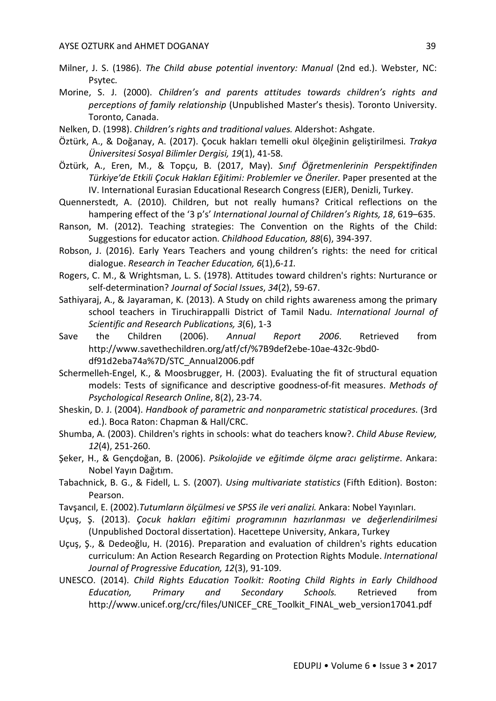- Milner, J. S. (1986). *The Child abuse potential inventory: Manual* (2nd ed.). Webster, NC: Psytec.
- Morine, S. J. (2000). *Children's and parents attitudes towards children's rights and perceptions of family relationship* (Unpublished Master's thesis). Toronto University. Toronto, Canada.
- Nelken, D. (1998). *Children's rights and traditional values.* Aldershot: Ashgate.
- Öztürk, A., & Doğanay, A. (2017). Çocuk hakları temelli okul ölçeğinin geliştirilmesi. *Trakya Üniversitesi Sosyal Bilimler Dergisi, 19*(1), 41-58.
- Öztürk, A., Eren, M., & Topçu, B. (2017, May). *Sınıf Öğretmenlerinin Perspektifinden Türkiye'de Etkili Çocuk Hakları Eğitimi: Problemler ve Öneriler*. Paper presented at the IV. International Eurasian Educational Research Congress (EJER), Denizli, Turkey.
- Quennerstedt, A. (2010). Children, but not really humans? Critical reflections on the hampering effect of the '3 p's' *International Journal of Children's Rights, 18*, 619–635.
- Ranson, M. (2012). Teaching strategies: The Convention on the Rights of the Child: Suggestions for educator action. *Childhood Education, 88*(6), 394-397.
- Robson, J. (2016). Early Years Teachers and young children's rights: the need for critical dialogue. *Research in Teacher Education, 6*(1),6*-11.*
- Rogers, C. M., & Wrightsman, L. S. (1978). Attitudes toward children's rights: Nurturance or self-determination? *Journal of Social Issues*, *34*(2), 59-67.
- Sathiyaraj, A., & Jayaraman, K. (2013). A Study on child rights awareness among the primary school teachers in Tiruchirappalli District of Tamil Nadu. *International Journal of Scientific and Research Publications, 3*(6), 1-3
- Save the Children (2006). *Annual Report 2006*. Retrieved from http://www.savethechildren.org/atf/cf/%7B9def2ebe-10ae-432c-9bd0 df91d2eba74a%7D/STC\_Annual2006.pdf
- Schermelleh-Engel, K., & Moosbrugger, H. (2003). Evaluating the fit of structural equation models: Tests of significance and descriptive goodness-of-fit measures. *Methods of Psychological Research Online*, 8(2), 23-74.
- Sheskin, D. J. (2004). *Handbook of parametric and nonparametric statistical procedures*. (3rd ed.). Boca Raton: Chapman & Hall/CRC.
- Shumba, A. (2003). Children's rights in schools: what do teachers know?. *Child Abuse Review, 12*(4), 251-260.
- Şeker, H., & Gençdoğan, B. (2006). *Psikolojide ve eğitimde ölçme aracı geliştirme*. Ankara: Nobel Yayın Dağıtım.
- Tabachnick, B. G., & Fidell, L. S. (2007). *Using multivariate statistics* (Fifth Edition). Boston: Pearson.
- Tavşancıl, E. (2002).*Tutumların ölçülmesi ve SPSS ile veri analizi.* Ankara: Nobel Yayınları.
- Uçuş, Ş. (2013). *Çocuk hakları eğitimi programının hazırlanması ve değerlendirilmesi* (Unpublished Doctoral dissertation). Hacettepe University, Ankara, Turkey
- Uçuş, Ş., & Dedeoğlu, H. (2016). Preparation and evaluation of children's rights education curriculum: An Action Research Regarding on Protection Rights Module. *International Journal of Progressive Education, 12*(3), 91-109.
- UNESCO. (2014). *Child Rights Education Toolkit: Rooting Child Rights in Early Childhood Education, Primary and Secondary Schools.* Retrieved from http://www.unicef.org/crc/files/UNICEF\_CRE\_Toolkit\_FINAL\_web\_version17041.pdf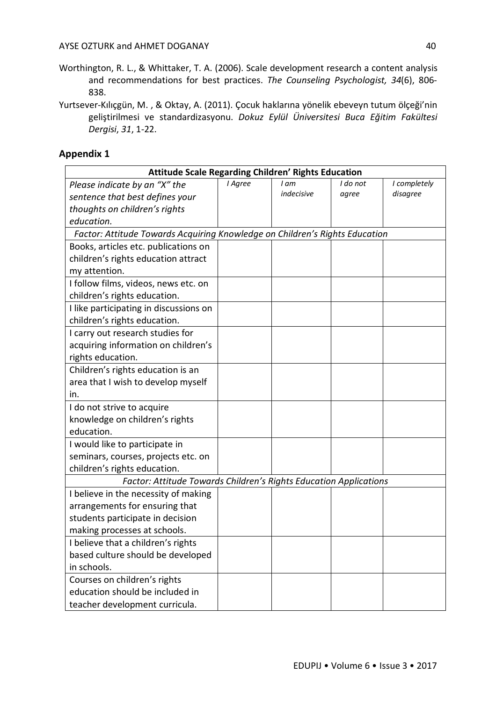- Worthington, R. L., & Whittaker, T. A. (2006). Scale development research a content analysis and recommendations for best practices. *The Counseling Psychologist, 34*(6), 806- 838.
- Yurtsever-Kılıçgün, M. , & Oktay, A. (2011). Çocuk haklarına yönelik ebeveyn tutum ölçeği'nin geliştirilmesi ve standardizasyonu. *Dokuz Eylül Üniversitesi Buca Eğitim Fakültesi Dergisi*, *31*, 1-22.

## **Appendix 1**

| <b>Attitude Scale Regarding Children' Rights Education</b>                  |         |            |          |              |  |
|-----------------------------------------------------------------------------|---------|------------|----------|--------------|--|
| Please indicate by an "X" the                                               | I Agree | I am       | I do not | I completely |  |
| sentence that best defines your                                             |         | indecisive | agree    | disagree     |  |
| thoughts on children's rights                                               |         |            |          |              |  |
| education.                                                                  |         |            |          |              |  |
| Factor: Attitude Towards Acquiring Knowledge on Children's Rights Education |         |            |          |              |  |
| Books, articles etc. publications on                                        |         |            |          |              |  |
| children's rights education attract                                         |         |            |          |              |  |
| my attention.                                                               |         |            |          |              |  |
| I follow films, videos, news etc. on                                        |         |            |          |              |  |
| children's rights education.                                                |         |            |          |              |  |
| I like participating in discussions on                                      |         |            |          |              |  |
| children's rights education.                                                |         |            |          |              |  |
| I carry out research studies for                                            |         |            |          |              |  |
| acquiring information on children's                                         |         |            |          |              |  |
| rights education.                                                           |         |            |          |              |  |
| Children's rights education is an                                           |         |            |          |              |  |
| area that I wish to develop myself                                          |         |            |          |              |  |
| in.                                                                         |         |            |          |              |  |
| I do not strive to acquire                                                  |         |            |          |              |  |
| knowledge on children's rights                                              |         |            |          |              |  |
| education.                                                                  |         |            |          |              |  |
| I would like to participate in                                              |         |            |          |              |  |
| seminars, courses, projects etc. on                                         |         |            |          |              |  |
| children's rights education.                                                |         |            |          |              |  |
| Factor: Attitude Towards Children's Rights Education Applications           |         |            |          |              |  |
| I believe in the necessity of making                                        |         |            |          |              |  |
| arrangements for ensuring that                                              |         |            |          |              |  |
| students participate in decision                                            |         |            |          |              |  |
| making processes at schools.                                                |         |            |          |              |  |
| I believe that a children's rights                                          |         |            |          |              |  |
| based culture should be developed                                           |         |            |          |              |  |
| in schools.                                                                 |         |            |          |              |  |
| Courses on children's rights                                                |         |            |          |              |  |
| education should be included in                                             |         |            |          |              |  |
| teacher development curricula.                                              |         |            |          |              |  |